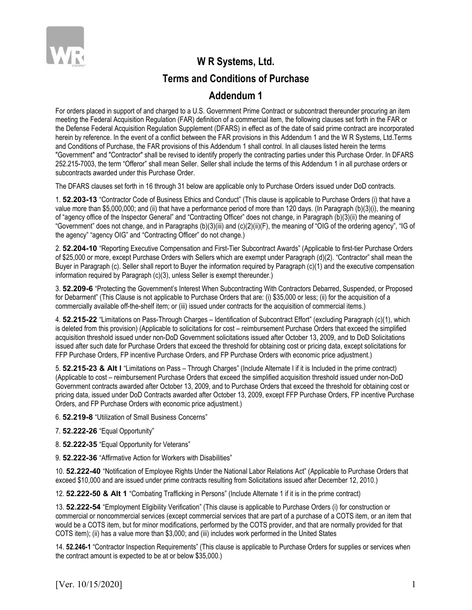

## **W R Systems, Ltd. Terms and Conditions of Purchase**

## **Addendum 1**

For orders placed in support of and charged to a U.S. Government Prime Contract or subcontract thereunder procuring an item meeting the Federal Acquisition Regulation (FAR) definition of a commercial item, the following clauses set forth in the FAR or the Defense Federal Acquisition Regulation Supplement (DFARS) in effect as of the date of said prime contract are incorporated herein by reference. In the event of a conflict between the FAR provisions in this Addendum 1 and the W R Systems, Ltd.Terms and Conditions of Purchase, the FAR provisions of this Addendum 1 shall control. In all clauses listed herein the terms "Government" and "Contractor" shall be revised to identify properly the contracting parties under this Purchase Order. In DFARS 252.215-7003, the term "Offeror" shall mean Seller. Seller shall include the terms of this Addendum 1 in all purchase orders or subcontracts awarded under this Purchase Order.

The DFARS clauses set forth in 16 through 31 below are applicable only to Purchase Orders issued under DoD contracts.

1. **52.203-13** "Contractor Code of Business Ethics and Conduct" (This clause is applicable to Purchase Orders (i) that have a value more than \$5,000,000; and (ii) that have a performance period of more than 120 days. (In Paragraph (b)(3)(i), the meaning of "agency office of the Inspector General" and "Contracting Officer" does not change, in Paragraph (b)(3)(ii) the meaning of "Government" does not change, and in Paragraphs (b)(3)(iii) and (c)(2)(ii)(F), the meaning of "OIG of the ordering agency", "IG of the agency" "agency OIG" and "Contracting Officer" do not change.)

2. **52.204-10** "Reporting Executive Compensation and First-Tier Subcontract Awards" (Applicable to first-tier Purchase Orders of \$25,000 or more, except Purchase Orders with Sellers which are exempt under Paragraph (d)(2). "Contractor" shall mean the Buyer in Paragraph (c). Seller shall report to Buyer the information required by Paragraph (c)(1) and the executive compensation information required by Paragraph (c)(3), unless Seller is exempt thereunder.)

3. **52.209-6** "Protecting the Government's Interest When Subcontracting With Contractors Debarred, Suspended, or Proposed for Debarment" (This Clause is not applicable to Purchase Orders that are: (i) \$35,000 or less; (ii) for the acquisition of a commercially available off-the-shelf item; or (iii) issued under contracts for the acquisition of commercial items.)

4. **52.215-22** "Limitations on Pass-Through Charges – Identification of Subcontract Effort" (excluding Paragraph (c)(1), which is deleted from this provision) (Applicable to solicitations for cost – reimbursement Purchase Orders that exceed the simplified acquisition threshold issued under non-DoD Government solicitations issued after October 13, 2009, and to DoD Solicitations issued after such date for Purchase Orders that exceed the threshold for obtaining cost or pricing data, except solicitations for FFP Purchase Orders, FP incentive Purchase Orders, and FP Purchase Orders with economic price adjustment.)

5. **52.215-23 & Alt I** "Limitations on Pass – Through Charges" (Include Alternate I if it is Included in the prime contract) (Applicable to cost – reimbursement Purchase Orders that exceed the simplified acquisition threshold issued under non-DoD Government contracts awarded after October 13, 2009, and to Purchase Orders that exceed the threshold for obtaining cost or pricing data, issued under DoD Contracts awarded after October 13, 2009, except FFP Purchase Orders, FP incentive Purchase Orders, and FP Purchase Orders with economic price adjustment.)

6. **52.219-8** "Utilization of Small Business Concerns"

- 7. **52.222-26** "Equal Opportunity"
- 8. **52.222-35** "Equal Opportunity for Veterans"
- 9. **52.222-36** "Affirmative Action for Workers with Disabilities"

10. **52.222-40** "Notification of Employee Rights Under the National Labor Relations Act" (Applicable to Purchase Orders that exceed \$10,000 and are issued under prime contracts resulting from Solicitations issued after December 12, 2010.)

12. **52.222-50 & Alt 1** "Combating Trafficking in Persons" (Include Alternate 1 if it is in the prime contract)

13. **52.222-54** "Employment Eligibility Verification" (This clause is applicable to Purchase Orders (i) for construction or commercial or noncommercial services (except commercial services that are part of a purchase of a COTS item, or an item that would be a COTS item, but for minor modifications, performed by the COTS provider, and that are normally provided for that COTS item); (ii) has a value more than \$3,000; and (iii) includes work performed in the United States

14. **52.246-1** "Contractor Inspection Requirements" (This clause is applicable to Purchase Orders for supplies or services when the contract amount is expected to be at or below \$35,000.)